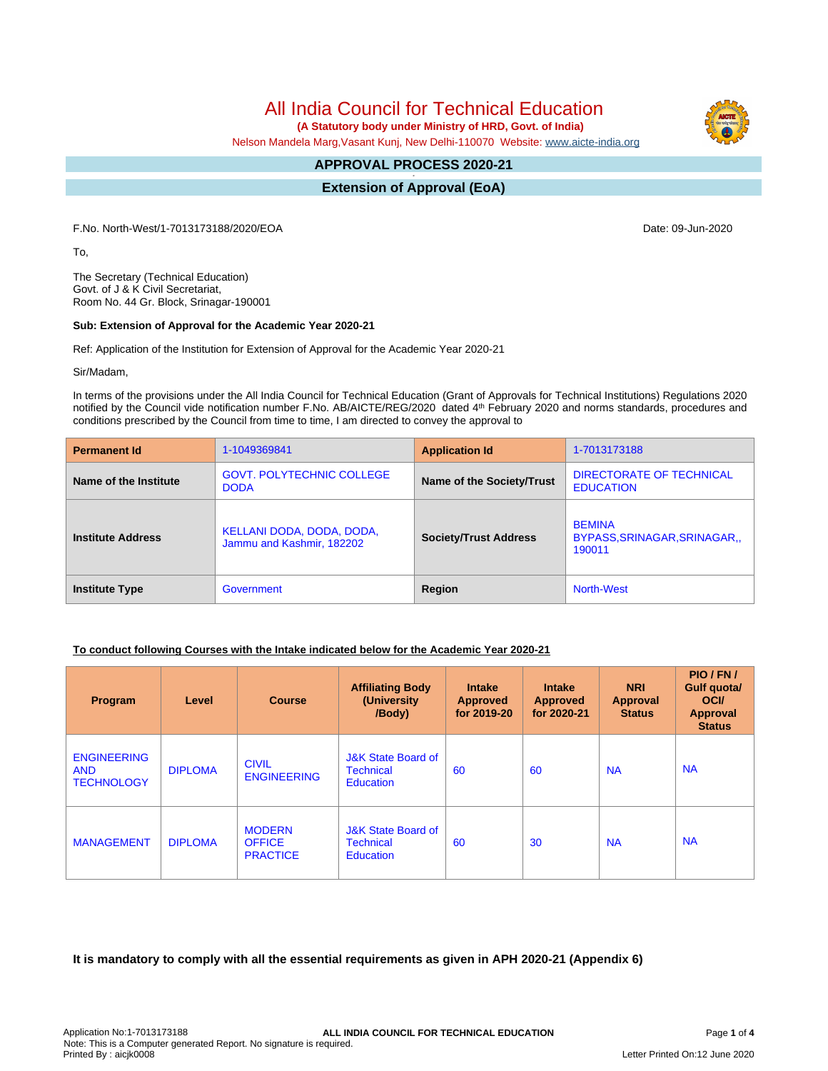All India Council for Technical Education

 **(A Statutory body under Ministry of HRD, Govt. of India)**

Nelson Mandela Marg,Vasant Kunj, New Delhi-110070 Website: [www.aicte-india.org](http://www.aicte-india.org)

#### **APPROVAL PROCESS 2020-21 -**

**Extension of Approval (EoA)**

F.No. North-West/1-7013173188/2020/EOA Date: 09-Jun-2020

To,

The Secretary (Technical Education) Govt. of J & K Civil Secretariat, Room No. 44 Gr. Block, Srinagar-190001

## **Sub: Extension of Approval for the Academic Year 2020-21**

Ref: Application of the Institution for Extension of Approval for the Academic Year 2020-21

Sir/Madam,

In terms of the provisions under the All India Council for Technical Education (Grant of Approvals for Technical Institutions) Regulations 2020 notified by the Council vide notification number F.No. AB/AICTE/REG/2020 dated 4<sup>th</sup> February 2020 and norms standards, procedures and conditions prescribed by the Council from time to time, I am directed to convey the approval to

| <b>Permanent Id</b>      | 1-1049369841                                           | <b>Application Id</b>        | 1-7013173188                                          |  |
|--------------------------|--------------------------------------------------------|------------------------------|-------------------------------------------------------|--|
| Name of the Institute    | <b>GOVT. POLYTECHNIC COLLEGE</b><br><b>DODA</b>        | Name of the Society/Trust    | DIRECTORATE OF TECHNICAL<br><b>EDUCATION</b>          |  |
| <b>Institute Address</b> | KELLANI DODA, DODA, DODA,<br>Jammu and Kashmir, 182202 | <b>Society/Trust Address</b> | <b>BEMINA</b><br>BYPASS, SRINAGAR, SRINAGAR<br>190011 |  |
| <b>Institute Type</b>    | Government                                             | Region                       | <b>North-West</b>                                     |  |

# **To conduct following Courses with the Intake indicated below for the Academic Year 2020-21**

| Program                                               | Level          | <b>Course</b>                                     | <b>Affiliating Body</b><br>(University<br>/Body)                      | <b>Intake</b><br><b>Approved</b><br>for 2019-20 | <b>Intake</b><br><b>Approved</b><br>for 2020-21 | <b>NRI</b><br>Approval<br><b>Status</b> | PIO/FN/<br>Gulf quota/<br><b>OCI</b><br><b>Approval</b><br><b>Status</b> |
|-------------------------------------------------------|----------------|---------------------------------------------------|-----------------------------------------------------------------------|-------------------------------------------------|-------------------------------------------------|-----------------------------------------|--------------------------------------------------------------------------|
| <b>ENGINEERING</b><br><b>AND</b><br><b>TECHNOLOGY</b> | <b>DIPLOMA</b> | <b>CIVIL</b><br><b>ENGINEERING</b>                | <b>J&amp;K State Board of</b><br><b>Technical</b><br><b>Education</b> | 60                                              | 60                                              | <b>NA</b>                               | <b>NA</b>                                                                |
| <b>MANAGEMENT</b>                                     | <b>DIPLOMA</b> | <b>MODERN</b><br><b>OFFICE</b><br><b>PRACTICE</b> | <b>J&amp;K State Board of</b><br><b>Technical</b><br><b>Education</b> | 60                                              | 30                                              | <b>NA</b>                               | <b>NA</b>                                                                |

**It is mandatory to comply with all the essential requirements as given in APH 2020-21 (Appendix 6)**

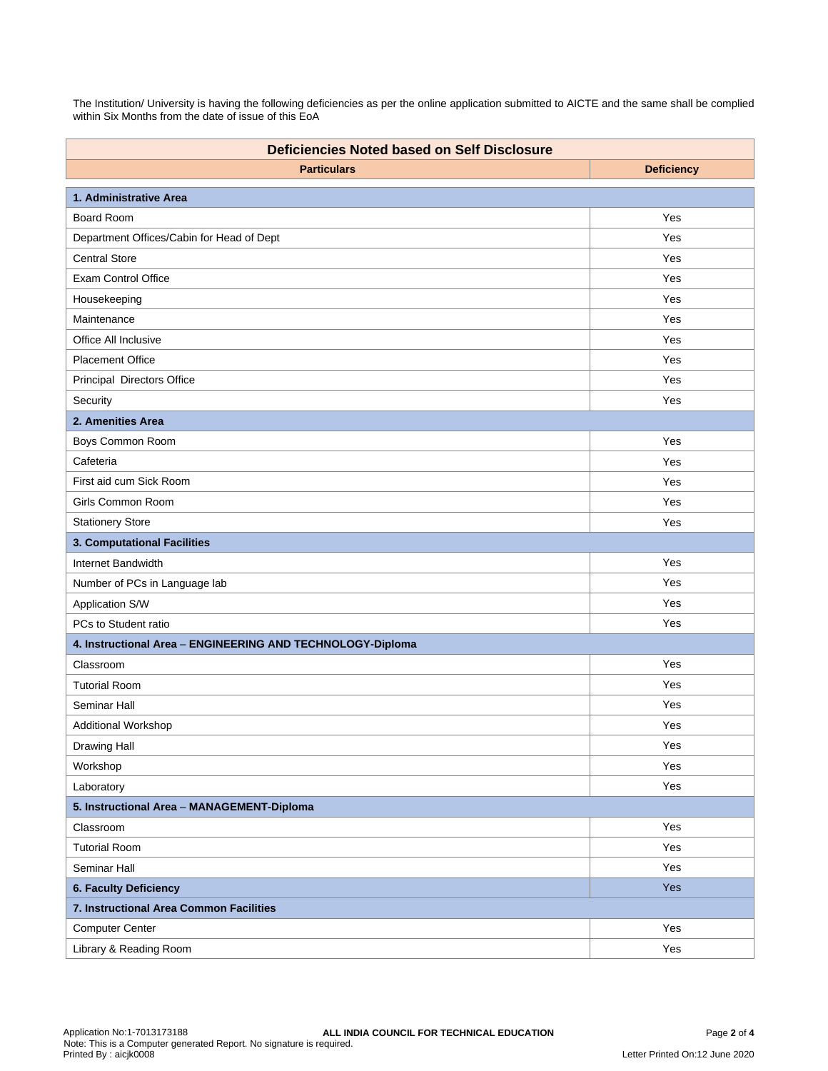The Institution/ University is having the following deficiencies as per the online application submitted to AICTE and the same shall be complied within Six Months from the date of issue of this EoA

| <b>Deficiencies Noted based on Self Disclosure</b>         |                   |  |  |  |
|------------------------------------------------------------|-------------------|--|--|--|
| <b>Particulars</b>                                         | <b>Deficiency</b> |  |  |  |
| 1. Administrative Area                                     |                   |  |  |  |
| Board Room                                                 | Yes               |  |  |  |
| Department Offices/Cabin for Head of Dept                  | Yes               |  |  |  |
| <b>Central Store</b>                                       | Yes               |  |  |  |
| <b>Exam Control Office</b>                                 | Yes               |  |  |  |
| Housekeeping                                               | Yes               |  |  |  |
| Maintenance                                                | Yes               |  |  |  |
| Office All Inclusive                                       | Yes               |  |  |  |
| <b>Placement Office</b>                                    | Yes               |  |  |  |
| Principal Directors Office                                 | Yes               |  |  |  |
| Security                                                   | Yes               |  |  |  |
| 2. Amenities Area                                          |                   |  |  |  |
| Boys Common Room                                           | Yes               |  |  |  |
| Cafeteria                                                  | Yes               |  |  |  |
| First aid cum Sick Room                                    | Yes               |  |  |  |
| Girls Common Room                                          | Yes               |  |  |  |
| <b>Stationery Store</b>                                    | Yes               |  |  |  |
| 3. Computational Facilities                                |                   |  |  |  |
| Internet Bandwidth                                         | Yes               |  |  |  |
| Number of PCs in Language lab                              | Yes               |  |  |  |
| Application S/W                                            | Yes               |  |  |  |
| PCs to Student ratio                                       | Yes               |  |  |  |
| 4. Instructional Area - ENGINEERING AND TECHNOLOGY-Diploma |                   |  |  |  |
| Classroom                                                  | Yes               |  |  |  |
| <b>Tutorial Room</b>                                       | Yes               |  |  |  |
| Seminar Hall                                               | Yes               |  |  |  |
| Additional Workshop                                        | Yes               |  |  |  |
| Drawing Hall                                               | Yes               |  |  |  |
| Workshop                                                   | Yes               |  |  |  |
| Laboratory                                                 | Yes               |  |  |  |
| 5. Instructional Area - MANAGEMENT-Diploma                 |                   |  |  |  |
| Classroom                                                  | Yes               |  |  |  |
| <b>Tutorial Room</b>                                       | Yes               |  |  |  |
| Seminar Hall                                               | Yes               |  |  |  |
| 6. Faculty Deficiency                                      | Yes               |  |  |  |
| 7. Instructional Area Common Facilities                    |                   |  |  |  |
| <b>Computer Center</b>                                     | Yes               |  |  |  |
| Library & Reading Room                                     | Yes               |  |  |  |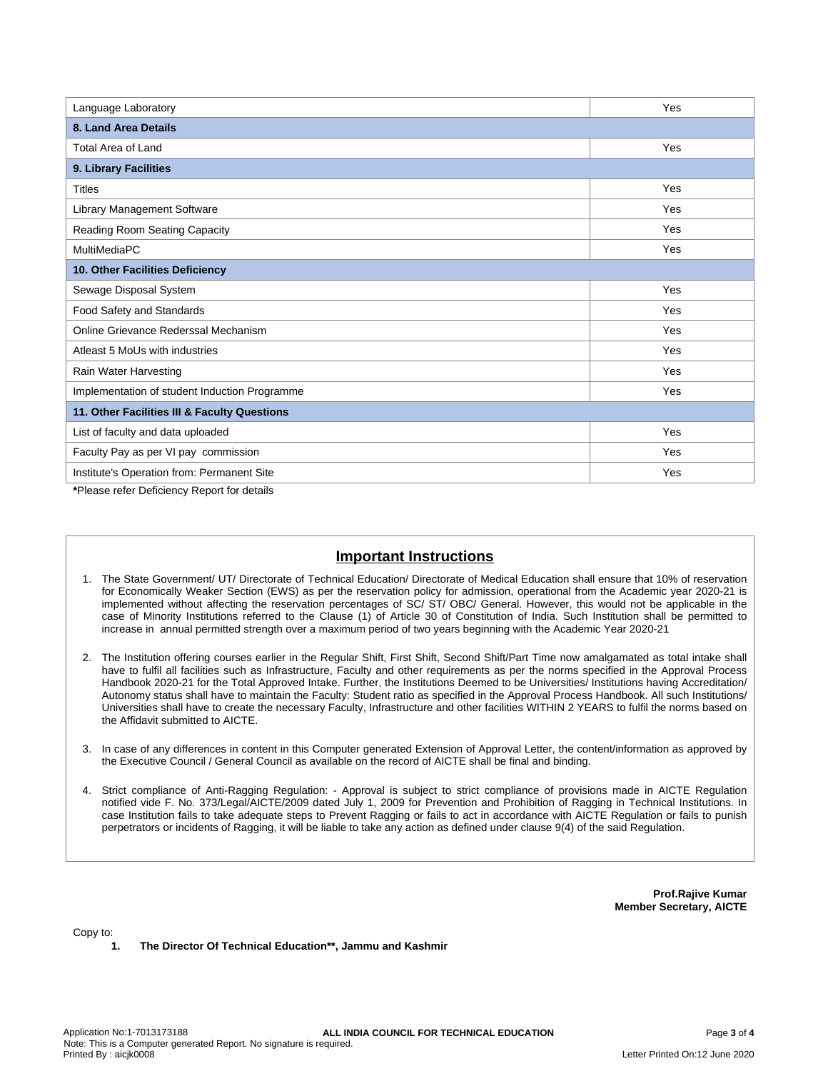| Language Laboratory                           | Yes |  |  |  |
|-----------------------------------------------|-----|--|--|--|
| 8. Land Area Details                          |     |  |  |  |
| Total Area of Land                            | Yes |  |  |  |
| 9. Library Facilities                         |     |  |  |  |
| <b>Titles</b>                                 | Yes |  |  |  |
| Library Management Software                   | Yes |  |  |  |
| Reading Room Seating Capacity                 | Yes |  |  |  |
| MultiMediaPC                                  | Yes |  |  |  |
| 10. Other Facilities Deficiency               |     |  |  |  |
| Sewage Disposal System                        | Yes |  |  |  |
| Food Safety and Standards                     | Yes |  |  |  |
| Online Grievance Rederssal Mechanism          | Yes |  |  |  |
| Atleast 5 MoUs with industries                | Yes |  |  |  |
| Rain Water Harvesting                         | Yes |  |  |  |
| Implementation of student Induction Programme | Yes |  |  |  |
| 11. Other Facilities III & Faculty Questions  |     |  |  |  |
| List of faculty and data uploaded             | Yes |  |  |  |
| Faculty Pay as per VI pay commission          | Yes |  |  |  |
| Institute's Operation from: Permanent Site    | Yes |  |  |  |

**\***Please refer Deficiency Report for details

# **Important Instructions**

- 1. The State Government/ UT/ Directorate of Technical Education/ Directorate of Medical Education shall ensure that 10% of reservation for Economically Weaker Section (EWS) as per the reservation policy for admission, operational from the Academic year 2020-21 is implemented without affecting the reservation percentages of SC/ ST/ OBC/ General. However, this would not be applicable in the case of Minority Institutions referred to the Clause (1) of Article 30 of Constitution of India. Such Institution shall be permitted to increase in annual permitted strength over a maximum period of two years beginning with the Academic Year 2020-21
- 2. The Institution offering courses earlier in the Regular Shift, First Shift, Second Shift/Part Time now amalgamated as total intake shall have to fulfil all facilities such as Infrastructure, Faculty and other requirements as per the norms specified in the Approval Process Handbook 2020-21 for the Total Approved Intake. Further, the Institutions Deemed to be Universities/ Institutions having Accreditation/ Autonomy status shall have to maintain the Faculty: Student ratio as specified in the Approval Process Handbook. All such Institutions/ Universities shall have to create the necessary Faculty, Infrastructure and other facilities WITHIN 2 YEARS to fulfil the norms based on the Affidavit submitted to AICTE.
- 3. In case of any differences in content in this Computer generated Extension of Approval Letter, the content/information as approved by the Executive Council / General Council as available on the record of AICTE shall be final and binding.
- 4. Strict compliance of Anti-Ragging Regulation: Approval is subject to strict compliance of provisions made in AICTE Regulation notified vide F. No. 373/Legal/AICTE/2009 dated July 1, 2009 for Prevention and Prohibition of Ragging in Technical Institutions. In case Institution fails to take adequate steps to Prevent Ragging or fails to act in accordance with AICTE Regulation or fails to punish perpetrators or incidents of Ragging, it will be liable to take any action as defined under clause 9(4) of the said Regulation.

**Prof.Rajive Kumar Member Secretary, AICTE**

Copy to:

**1. The Director Of Technical Education\*\*, Jammu and Kashmir**